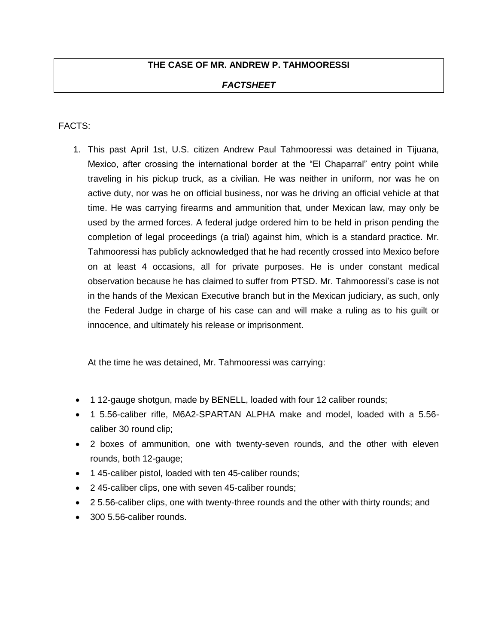# **THE CASE OF MR. ANDREW P. TAHMOORESSI**

## *FACTSHEET*

#### FACTS:

1. This past April 1st, U.S. citizen Andrew Paul Tahmooressi was detained in Tijuana, Mexico, after crossing the international border at the "El Chaparral" entry point while traveling in his pickup truck, as a civilian. He was neither in uniform, nor was he on active duty, nor was he on official business, nor was he driving an official vehicle at that time. He was carrying firearms and ammunition that, under Mexican law, may only be used by the armed forces. A federal judge ordered him to be held in prison pending the completion of legal proceedings (a trial) against him, which is a standard practice. Mr. Tahmooressi has publicly acknowledged that he had recently crossed into Mexico before on at least 4 occasions, all for private purposes. He is under constant medical observation because he has claimed to suffer from PTSD. Mr. Tahmooressi's case is not in the hands of the Mexican Executive branch but in the Mexican judiciary, as such, only the Federal Judge in charge of his case can and will make a ruling as to his guilt or innocence, and ultimately his release or imprisonment.

At the time he was detained, Mr. Tahmooressi was carrying:

- 1 12-gauge shotgun, made by BENELL, loaded with four 12 caliber rounds;
- 1 5.56-caliber rifle, M6A2-SPARTAN ALPHA make and model, loaded with a 5.56 caliber 30 round clip;
- 2 boxes of ammunition, one with twenty-seven rounds, and the other with eleven rounds, both 12-gauge;
- 1 45-caliber pistol, loaded with ten 45-caliber rounds;
- 2 45-caliber clips, one with seven 45-caliber rounds;
- 2 5.56-caliber clips, one with twenty-three rounds and the other with thirty rounds; and
- 300 5.56-caliber rounds.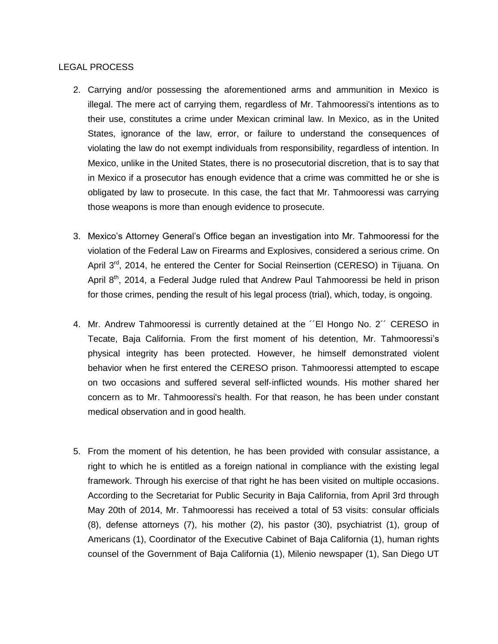#### LEGAL PROCESS

- 2. Carrying and/or possessing the aforementioned arms and ammunition in Mexico is illegal. The mere act of carrying them, regardless of Mr. Tahmooressi's intentions as to their use, constitutes a crime under Mexican criminal law. In Mexico, as in the United States, ignorance of the law, error, or failure to understand the consequences of violating the law do not exempt individuals from responsibility, regardless of intention. In Mexico, unlike in the United States, there is no prosecutorial discretion, that is to say that in Mexico if a prosecutor has enough evidence that a crime was committed he or she is obligated by law to prosecute. In this case, the fact that Mr. Tahmooressi was carrying those weapons is more than enough evidence to prosecute.
- 3. Mexico's Attorney General's Office began an investigation into Mr. Tahmooressi for the violation of the Federal Law on Firearms and Explosives, considered a serious crime. On April 3<sup>rd</sup>, 2014, he entered the Center for Social Reinsertion (CERESO) in Tijuana. On April  $8<sup>th</sup>$ , 2014, a Federal Judge ruled that Andrew Paul Tahmooressi be held in prison for those crimes, pending the result of his legal process (trial), which, today, is ongoing.
- 4. Mr. Andrew Tahmooressi is currently detained at the ´´El Hongo No. 2´´ CERESO in Tecate, Baja California. From the first moment of his detention, Mr. Tahmooressi's physical integrity has been protected. However, he himself demonstrated violent behavior when he first entered the CERESO prison. Tahmooressi attempted to escape on two occasions and suffered several self-inflicted wounds. His mother shared her concern as to Mr. Tahmooressi's health. For that reason, he has been under constant medical observation and in good health.
- 5. From the moment of his detention, he has been provided with consular assistance, a right to which he is entitled as a foreign national in compliance with the existing legal framework. Through his exercise of that right he has been visited on multiple occasions. According to the Secretariat for Public Security in Baja California, from April 3rd through May 20th of 2014, Mr. Tahmooressi has received a total of 53 visits: consular officials (8), defense attorneys (7), his mother (2), his pastor (30), psychiatrist (1), group of Americans (1), Coordinator of the Executive Cabinet of Baja California (1), human rights counsel of the Government of Baja California (1), Milenio newspaper (1), San Diego UT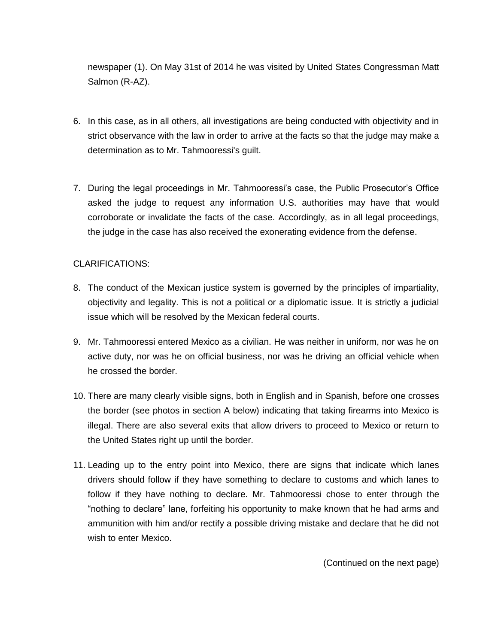newspaper (1). On May 31st of 2014 he was visited by United States Congressman Matt Salmon (R-AZ).

- 6. In this case, as in all others, all investigations are being conducted with objectivity and in strict observance with the law in order to arrive at the facts so that the judge may make a determination as to Mr. Tahmooressi's guilt.
- 7. During the legal proceedings in Mr. Tahmooressi's case, the Public Prosecutor's Office asked the judge to request any information U.S. authorities may have that would corroborate or invalidate the facts of the case. Accordingly, as in all legal proceedings, the judge in the case has also received the exonerating evidence from the defense.

## CLARIFICATIONS:

- 8. The conduct of the Mexican justice system is governed by the principles of impartiality, objectivity and legality. This is not a political or a diplomatic issue. It is strictly a judicial issue which will be resolved by the Mexican federal courts.
- 9. Mr. Tahmooressi entered Mexico as a civilian. He was neither in uniform, nor was he on active duty, nor was he on official business, nor was he driving an official vehicle when he crossed the border.
- 10. There are many clearly visible signs, both in English and in Spanish, before one crosses the border (see photos in section A below) indicating that taking firearms into Mexico is illegal. There are also several exits that allow drivers to proceed to Mexico or return to the United States right up until the border.
- 11. Leading up to the entry point into Mexico, there are signs that indicate which lanes drivers should follow if they have something to declare to customs and which lanes to follow if they have nothing to declare. Mr. Tahmooressi chose to enter through the "nothing to declare" lane, forfeiting his opportunity to make known that he had arms and ammunition with him and/or rectify a possible driving mistake and declare that he did not wish to enter Mexico.

(Continued on the next page)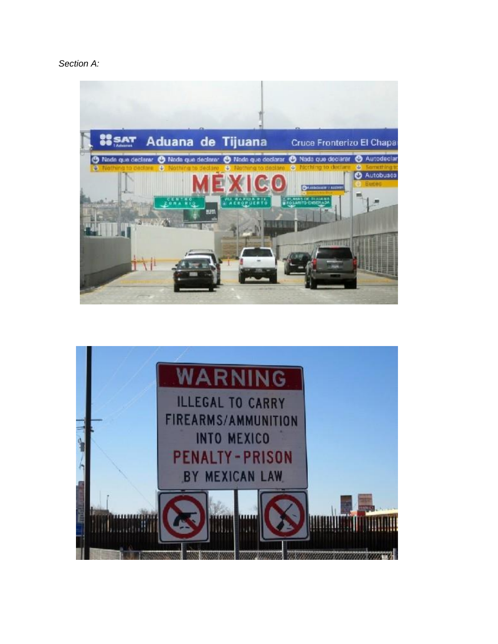```
Section A:
```


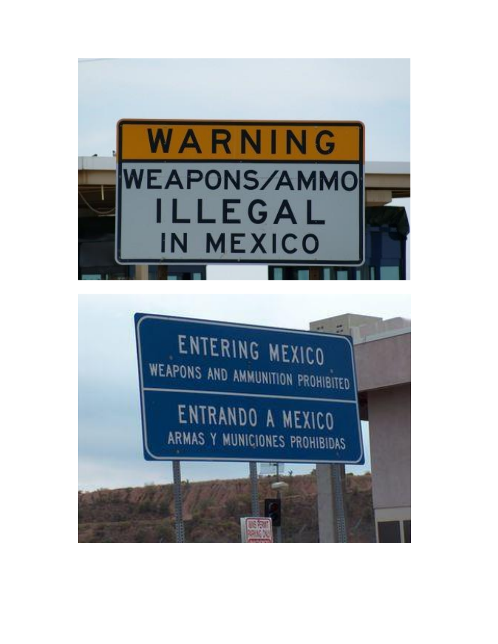

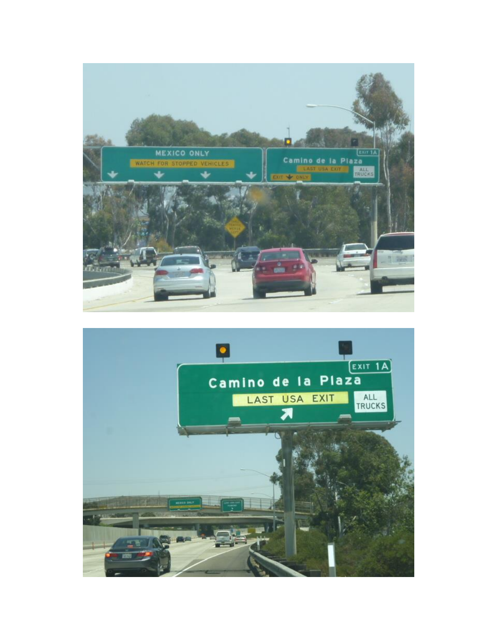

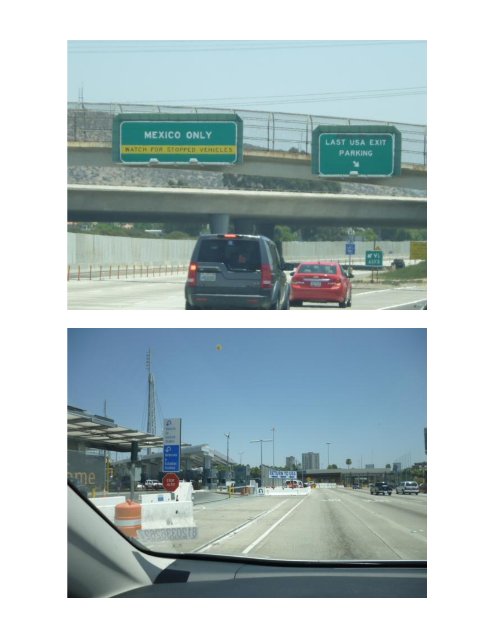

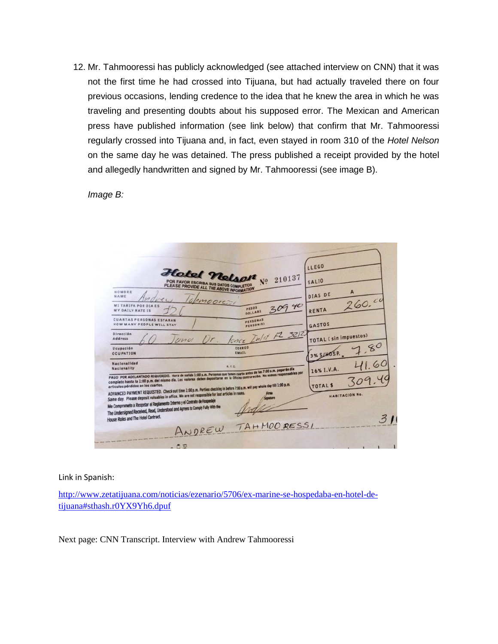12. Mr. Tahmooressi has publicly acknowledged (see attached interview on CNN) that it was not the first time he had crossed into Tijuana, but had actually traveled there on four previous occasions, lending credence to the idea that he knew the area in which he was traveling and presenting doubts about his supposed error. The Mexican and American press have published information (see link below) that confirm that Mr. Tahmooressi regularly crossed into Tijuana and, in fact, even stayed in room 310 of the *Hotel Nelson*  on the same day he was detained. The press published a receipt provided by the hotel and allegedly handwritten and signed by Mr. Tahmooressi (see image B).

*Image B:*

|                                                                                                                                                                                                                                                                                                                                                                                                                                       | Hotel Nelson<br>POR FAVOR ESCRIBA SUS DATOS COMPLETOS   | Nº                      | 210137              | LLEGO<br><b>SALIO</b>        |                             |
|---------------------------------------------------------------------------------------------------------------------------------------------------------------------------------------------------------------------------------------------------------------------------------------------------------------------------------------------------------------------------------------------------------------------------------------|---------------------------------------------------------|-------------------------|---------------------|------------------------------|-----------------------------|
| NOMBRE<br>NAME                                                                                                                                                                                                                                                                                                                                                                                                                        | PLEASE PROVIDE ALL THE ABOVE INFORMATION<br>alimporcion |                         |                     | DIAS DE                      |                             |
| <b>MITARIFA POR DIA ES</b><br><b>MY DAILY RATE IS</b>                                                                                                                                                                                                                                                                                                                                                                                 |                                                         | <b>PESOS</b><br>ODLLARS | 30940               | <b>RENTA</b>                 | 260.04                      |
| <b>CUANTAS PERSONAS ESTARAN</b><br><b>HOW MANY PEOPLE WILL STAY</b>                                                                                                                                                                                                                                                                                                                                                                   |                                                         | PERSONAS<br>PERSON(S)   |                     | <b>GASTOS</b>                |                             |
| Dirección<br><b>Address</b>                                                                                                                                                                                                                                                                                                                                                                                                           | $\omega$ na Dr.                                         |                         | lonce Inlet FL 5212 | <b>TOTAL (sin impuestos)</b> |                             |
| Ucupación<br><b>OCUPATION</b>                                                                                                                                                                                                                                                                                                                                                                                                         |                                                         | <b>CORREO</b><br>EMAIL  |                     | 3% SLHOSP.                   | 80                          |
| <b>Nacionalidad</b><br><b>Nacionality</b>                                                                                                                                                                                                                                                                                                                                                                                             | 克子尼。                                                    |                         |                     | 16% I.V.A.                   | 1.60                        |
| PAGO POR ADELANTADO REQUERIDO. Hora de salida 1:00 p.m. Persenas que temes cuarto antes de las 7:00 a.m. pagarân dia<br>completo hasta la 1:00 p.m. del mismo dia. Los valores deben depositarse en la Oficial cantrarecho. No somos responsables por                                                                                                                                                                                 |                                                         |                         |                     | <b>TOTALS</b>                | 309.40                      |
| ADVANCED PAYMENT REQUESTED. Check out time 1:00 p.m. Parties checking in before 7:00 p.m. will pay whole day till 1:00 p.m.<br>Same day. Please deposit valuables in office. We are not responsible for lost articles in rooms.<br>Me Comprometo a Respetar el Reglamento Interno y el Contrato de Hospedaje<br>The Undersigned Received, Read, Understood and Agrees to Comply Fully With the<br>House Rules and The Hotel Contract. |                                                         |                         | <b>onature</b>      |                              | <b>HABITACION No.</b><br>31 |
|                                                                                                                                                                                                                                                                                                                                                                                                                                       | ANDREW TAHMOORESSI                                      |                         |                     |                              |                             |

Link in Spanish:

[http://www.zetatijuana.com/noticias/ezenario/5706/ex-marine-se-hospedaba-en-hotel-de](http://www.zetatijuana.com/noticias/ezenario/5706/ex-marine-se-hospedaba-en-hotel-de-tijuana#sthash.r0YX9Yh6.dpuf)[tijuana#sthash.r0YX9Yh6.dpuf](http://www.zetatijuana.com/noticias/ezenario/5706/ex-marine-se-hospedaba-en-hotel-de-tijuana#sthash.r0YX9Yh6.dpuf)

Next page: CNN Transcript. Interview with Andrew Tahmooressi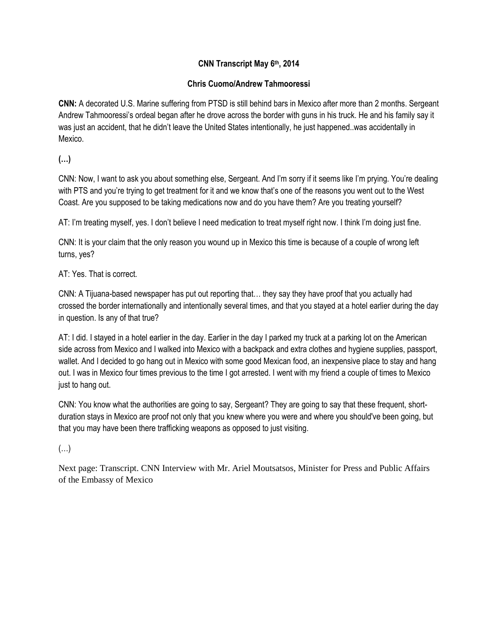# **CNN Transcript May 6th, 2014**

## **Chris Cuomo/Andrew Tahmooressi**

**CNN:** A decorated U.S. Marine suffering from PTSD is still behind bars in Mexico after more than 2 months. Sergeant Andrew Tahmooressi's ordeal began after he drove across the border with guns in his truck. He and his family say it was just an accident, that he didn't leave the United States intentionally, he just happened..was accidentally in Mexico.

**(…)**

CNN: Now, I want to ask you about something else, Sergeant. And I'm sorry if it seems like I'm prying. You're dealing with PTS and you're trying to get treatment for it and we know that's one of the reasons you went out to the West Coast. Are you supposed to be taking medications now and do you have them? Are you treating yourself?

AT: I'm treating myself, yes. I don't believe I need medication to treat myself right now. I think I'm doing just fine.

CNN: It is your claim that the only reason you wound up in Mexico this time is because of a couple of wrong left turns, yes?

AT: Yes. That is correct.

CNN: A Tijuana-based newspaper has put out reporting that… they say they have proof that you actually had crossed the border internationally and intentionally several times, and that you stayed at a hotel earlier during the day in question. Is any of that true?

AT: I did. I stayed in a hotel earlier in the day. Earlier in the day I parked my truck at a parking lot on the American side across from Mexico and I walked into Mexico with a backpack and extra clothes and hygiene supplies, passport, wallet. And I decided to go hang out in Mexico with some good Mexican food, an inexpensive place to stay and hang out. I was in Mexico four times previous to the time I got arrested. I went with my friend a couple of times to Mexico just to hang out.

CNN: You know what the authorities are going to say, Sergeant? They are going to say that these frequent, shortduration stays in Mexico are proof not only that you knew where you were and where you should've been going, but that you may have been there trafficking weapons as opposed to just visiting.

(…)

Next page: Transcript. CNN Interview with Mr. Ariel Moutsatsos, Minister for Press and Public Affairs of the Embassy of Mexico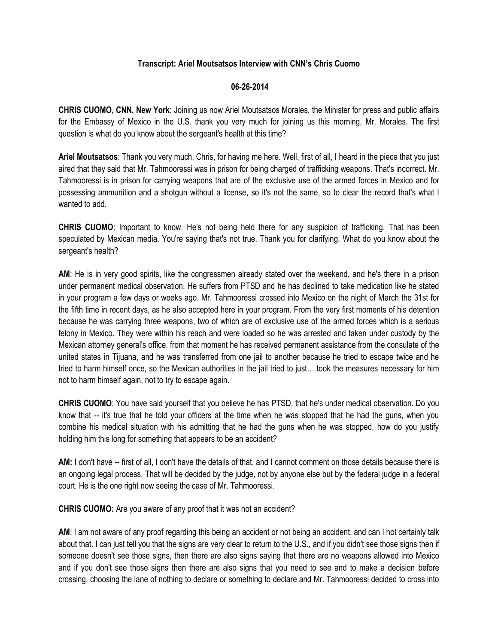#### **Transcript: Ariel Moutsatsos Interview with CNN's Chris Cuomo**

#### **06-26-2014**

**CHRIS CUOMO, CNN, New York**: Joining us now Ariel Moutsatsos Morales, the Minister for press and public affairs for the Embassy of Mexico in the U.S. thank you very much for joining us this morning, Mr. Morales. The first question is what do you know about the sergeant's health at this time?

**Ariel Moutsatsos**: Thank you very much, Chris, for having me here. Well, first of all, I heard in the piece that you just aired that they said that Mr. Tahmooressi was in prison for being charged of trafficking weapons. That's incorrect. Mr. Tahmooressi is in prison for carrying weapons that are of the exclusive use of the armed forces in Mexico and for possessing ammunition and a shotgun without a license, so it's not the same, so to clear the record that's what I wanted to add.

**CHRIS CUOMO**: Important to know. He's not being held there for any suspicion of trafficking. That has been speculated by Mexican media. You're saying that's not true. Thank you for clarifying. What do you know about the sergeant's health?

**AM**: He is in very good spirits, like the congressmen already stated over the weekend, and he's there in a prison under permanent medical observation. He suffers from PTSD and he has declined to take medication like he stated in your program a few days or weeks ago. Mr. Tahmooressi crossed into Mexico on the night of March the 31st for the fifth time in recent days, as he also accepted here in your program. From the very first moments of his detention because he was carrying three weapons, two of which are of exclusive use of the armed forces which is a serious felony in Mexico. They were within his reach and were loaded so he was arrested and taken under custody by the Mexican attorney general's office. from that moment he has received permanent assistance from the consulate of the united states in Tijuana, and he was transferred from one jail to another because he tried to escape twice and he tried to harm himself once, so the Mexican authorities in the jail tried to just… took the measures necessary for him not to harm himself again, not to try to escape again.

**CHRIS CUOMO**: You have said yourself that you believe he has PTSD, that he's under medical observation. Do you know that -- it's true that he told your officers at the time when he was stopped that he had the guns, when you combine his medical situation with his admitting that he had the guns when he was stopped, how do you justify holding him this long for something that appears to be an accident?

**AM:** I don't have -- first of all, I don't have the details of that, and I cannot comment on those details because there is an ongoing legal process. That will be decided by the judge, not by anyone else but by the federal judge in a federal court. He is the one right now seeing the case of Mr. Tahmooressi.

**CHRIS CUOMO:** Are you aware of any proof that it was not an accident?

AM: I am not aware of any proof regarding this being an accident or not being an accident, and can I not certainly talk about that. I can just tell you that the signs are very clear to return to the U.S., and if you didn't see those signs then if someone doesn't see those signs, then there are also signs saying that there are no weapons allowed into Mexico and if you don't see those signs then there are also signs that you need to see and to make a decision before crossing, choosing the lane of nothing to declare or something to declare and Mr. Tahmooressi decided to cross into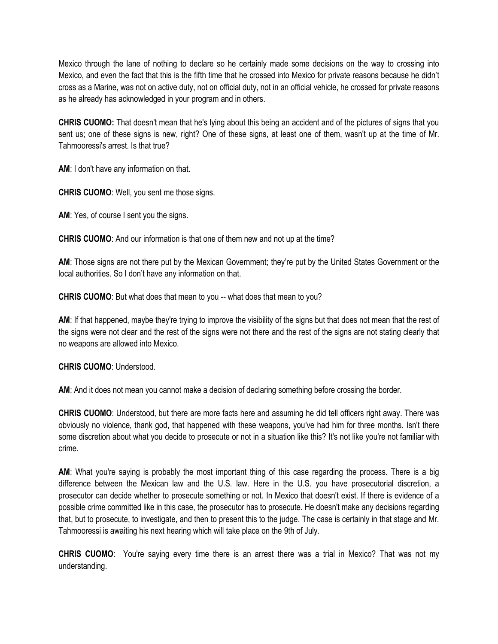Mexico through the lane of nothing to declare so he certainly made some decisions on the way to crossing into Mexico, and even the fact that this is the fifth time that he crossed into Mexico for private reasons because he didn't cross as a Marine, was not on active duty, not on official duty, not in an official vehicle, he crossed for private reasons as he already has acknowledged in your program and in others.

**CHRIS CUOMO:** That doesn't mean that he's lying about this being an accident and of the pictures of signs that you sent us; one of these signs is new, right? One of these signs, at least one of them, wasn't up at the time of Mr. Tahmooressi's arrest. Is that true?

**AM**: I don't have any information on that.

**CHRIS CUOMO**: Well, you sent me those signs.

**AM**: Yes, of course I sent you the signs.

**CHRIS CUOMO**: And our information is that one of them new and not up at the time?

**AM**: Those signs are not there put by the Mexican Government; they're put by the United States Government or the local authorities. So I don't have any information on that.

**CHRIS CUOMO**: But what does that mean to you -- what does that mean to you?

**AM**: If that happened, maybe they're trying to improve the visibility of the signs but that does not mean that the rest of the signs were not clear and the rest of the signs were not there and the rest of the signs are not stating clearly that no weapons are allowed into Mexico.

**CHRIS CUOMO**: Understood.

**AM**: And it does not mean you cannot make a decision of declaring something before crossing the border.

**CHRIS CUOMO**: Understood, but there are more facts here and assuming he did tell officers right away. There was obviously no violence, thank god, that happened with these weapons, you've had him for three months. Isn't there some discretion about what you decide to prosecute or not in a situation like this? It's not like you're not familiar with crime.

**AM**: What you're saying is probably the most important thing of this case regarding the process. There is a big difference between the Mexican law and the U.S. law. Here in the U.S. you have prosecutorial discretion, a prosecutor can decide whether to prosecute something or not. In Mexico that doesn't exist. If there is evidence of a possible crime committed like in this case, the prosecutor has to prosecute. He doesn't make any decisions regarding that, but to prosecute, to investigate, and then to present this to the judge. The case is certainly in that stage and Mr. Tahmooressi is awaiting his next hearing which will take place on the 9th of July.

**CHRIS CUOMO**: You're saying every time there is an arrest there was a trial in Mexico? That was not my understanding.